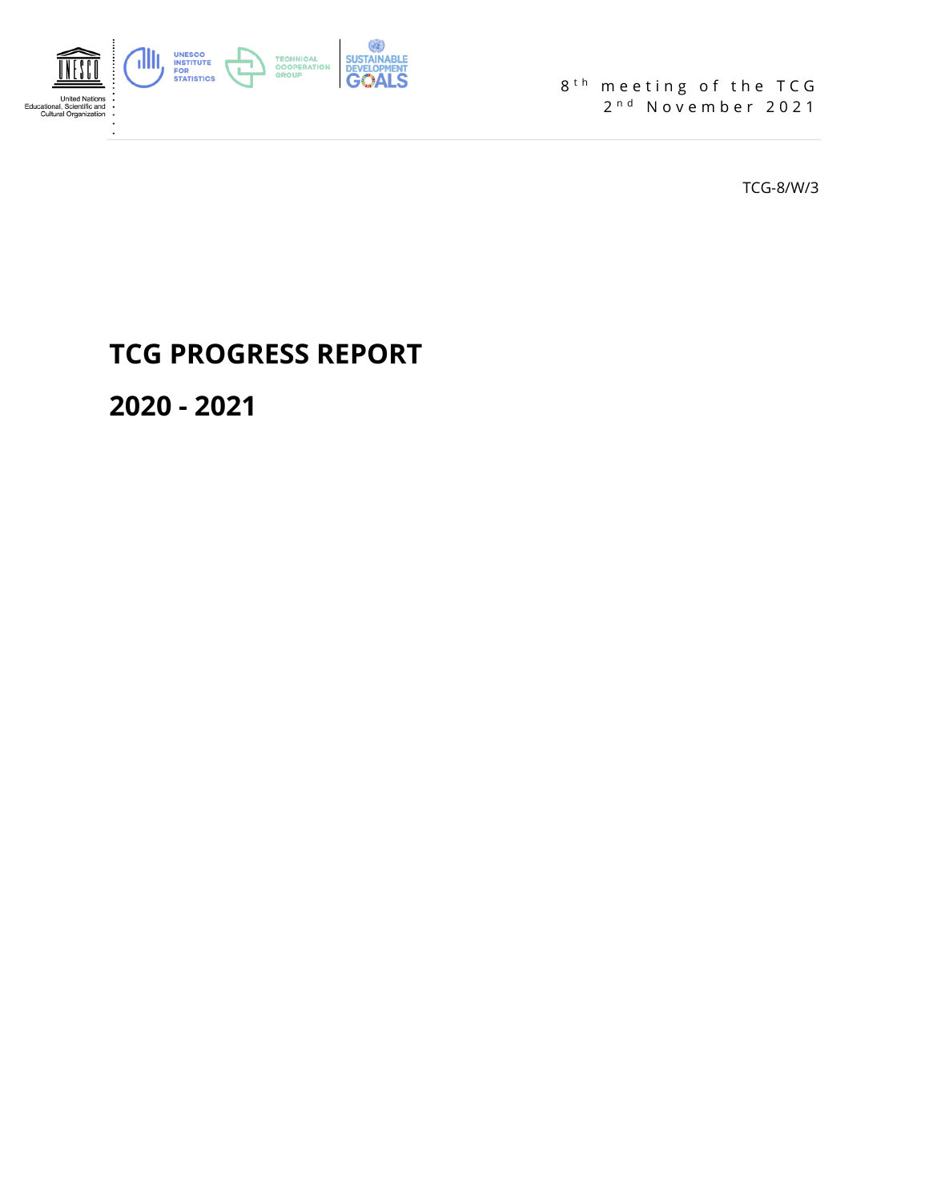

8<sup>th</sup> meeting of the TCG 2<sup>nd</sup> November 2021

TCG-8/W/3

# **TCG PROGRESS REPORT**

**2020 - 2021**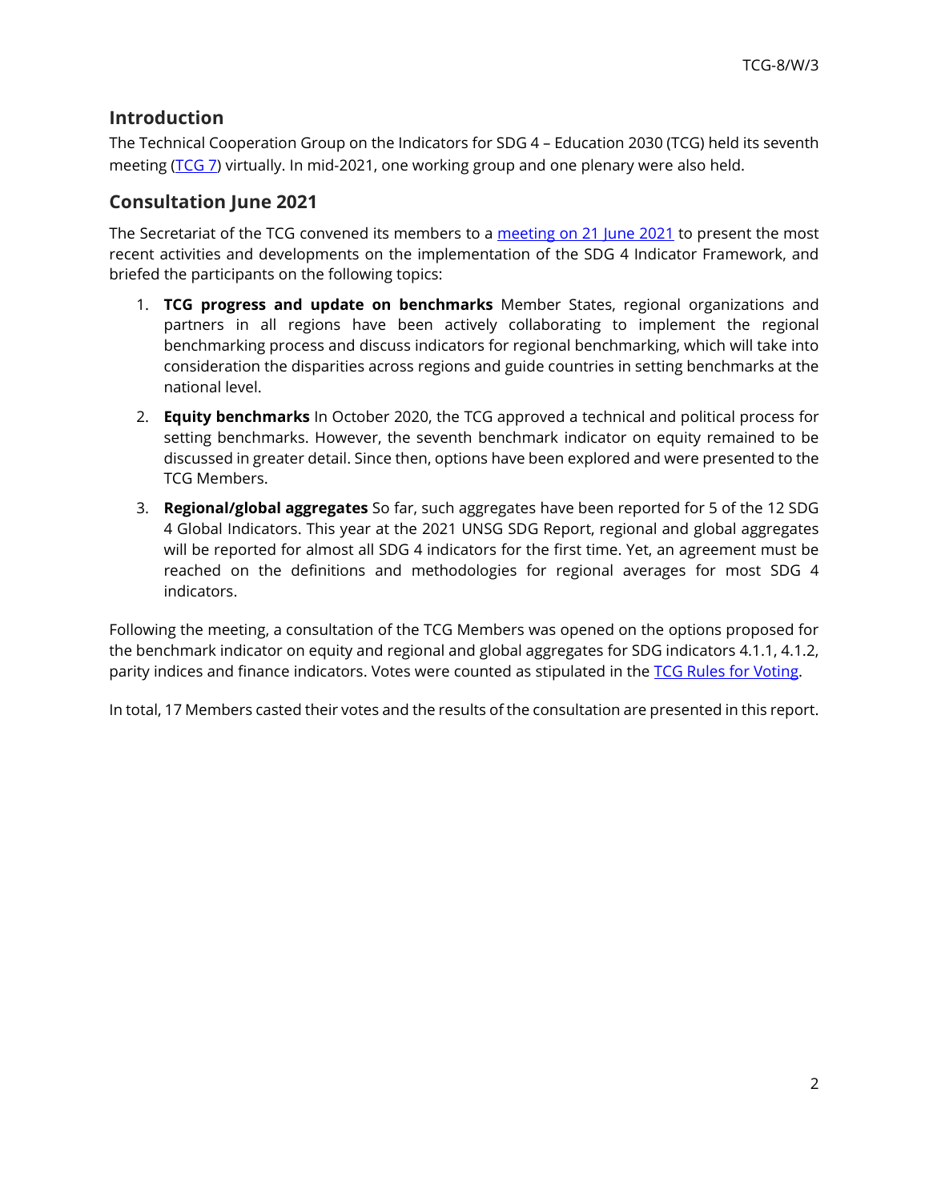# **Introduction**

The Technical Cooperation Group on the Indicators for SDG 4 – Education 2030 (TCG) held its seventh meeting [\(TCG 7\)](http://tcg.uis.unesco.org/sixth-meeting-of-the-tcg/) virtually. In mid-2021, one working group and one plenary were also held.

## **Consultation June 2021**

The Secretariat of the TCG convened its members to a [meeting on 21 June 2021](http://tcg.uis.unesco.org/wp-content/uploads/sites/4/2021/06/TCG-June-2021-Concept-Note.pdf) to present the most recent activities and developments on the implementation of the SDG 4 Indicator Framework, and briefed the participants on the following topics:

- 1. **TCG progress and update on benchmarks** Member States, regional organizations and partners in all regions have been actively collaborating to implement the regional benchmarking process and discuss indicators for regional benchmarking, which will take into consideration the disparities across regions and guide countries in setting benchmarks at the national level.
- 2. **Equity benchmarks** In October 2020, the TCG approved a technical and political process for setting benchmarks. However, the seventh benchmark indicator on equity remained to be discussed in greater detail. Since then, options have been explored and were presented to the TCG Members.
- 3. **Regional/global aggregates** So far, such aggregates have been reported for 5 of the 12 SDG 4 Global Indicators. This year at the 2021 UNSG SDG Report, regional and global aggregates will be reported for almost all SDG 4 indicators for the first time. Yet, an agreement must be reached on the definitions and methodologies for regional averages for most SDG 4 indicators.

Following the meeting, a consultation of the TCG Members was opened on the options proposed for the benchmark indicator on equity and regional and global aggregates for SDG indicators 4.1.1, 4.1.2, parity indices and finance indicators. Votes were counted as stipulated in the [TCG Rules for Voting.](http://tcg.uis.unesco.org/wp-content/uploads/sites/4/2020/03/TCG_voting_rules.pdf)

In total, 17 Members casted their votes and the results of the consultation are presented in this report.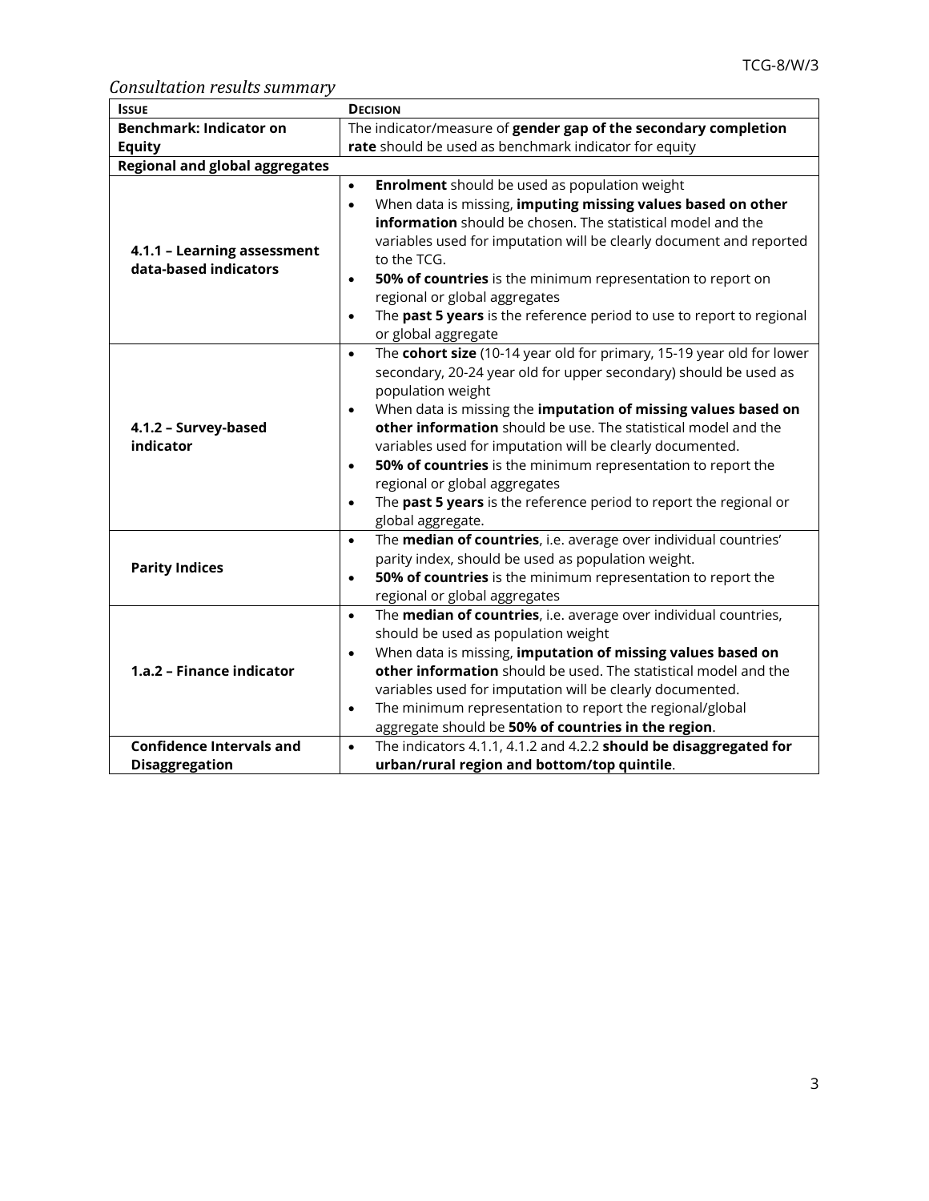*Consultation results summary*

| <b>ISSUE</b>                                         | <b>DECISION</b>                                                                                                                                                                                                                                                                                                                                                                                                                                                                                                                                                                                                 |  |  |  |  |  |
|------------------------------------------------------|-----------------------------------------------------------------------------------------------------------------------------------------------------------------------------------------------------------------------------------------------------------------------------------------------------------------------------------------------------------------------------------------------------------------------------------------------------------------------------------------------------------------------------------------------------------------------------------------------------------------|--|--|--|--|--|
| <b>Benchmark: Indicator on</b>                       | The indicator/measure of gender gap of the secondary completion                                                                                                                                                                                                                                                                                                                                                                                                                                                                                                                                                 |  |  |  |  |  |
| <b>Equity</b>                                        | rate should be used as benchmark indicator for equity                                                                                                                                                                                                                                                                                                                                                                                                                                                                                                                                                           |  |  |  |  |  |
| <b>Regional and global aggregates</b>                |                                                                                                                                                                                                                                                                                                                                                                                                                                                                                                                                                                                                                 |  |  |  |  |  |
| 4.1.1 - Learning assessment<br>data-based indicators | <b>Enrolment</b> should be used as population weight<br>$\bullet$<br>When data is missing, imputing missing values based on other<br>$\bullet$<br>information should be chosen. The statistical model and the<br>variables used for imputation will be clearly document and reported<br>to the TCG.<br>50% of countries is the minimum representation to report on<br>$\bullet$<br>regional or global aggregates<br>The past 5 years is the reference period to use to report to regional<br>$\bullet$<br>or global aggregate                                                                                   |  |  |  |  |  |
| 4.1.2 - Survey-based<br>indicator                    | The cohort size (10-14 year old for primary, 15-19 year old for lower<br>$\bullet$<br>secondary, 20-24 year old for upper secondary) should be used as<br>population weight<br>When data is missing the imputation of missing values based on<br>$\bullet$<br>other information should be use. The statistical model and the<br>variables used for imputation will be clearly documented.<br>50% of countries is the minimum representation to report the<br>$\bullet$<br>regional or global aggregates<br>The past 5 years is the reference period to report the regional or<br>$\bullet$<br>global aggregate. |  |  |  |  |  |
| <b>Parity Indices</b>                                | The median of countries, i.e. average over individual countries'<br>$\bullet$<br>parity index, should be used as population weight.<br>50% of countries is the minimum representation to report the<br>$\bullet$<br>regional or global aggregates                                                                                                                                                                                                                                                                                                                                                               |  |  |  |  |  |
| 1.a.2 - Finance indicator                            | The median of countries, i.e. average over individual countries,<br>$\bullet$<br>should be used as population weight<br>When data is missing, imputation of missing values based on<br>$\bullet$<br>other information should be used. The statistical model and the<br>variables used for imputation will be clearly documented.<br>The minimum representation to report the regional/global<br>$\bullet$<br>aggregate should be 50% of countries in the region.                                                                                                                                                |  |  |  |  |  |
| <b>Confidence Intervals and</b>                      | The indicators 4.1.1, 4.1.2 and 4.2.2 should be disaggregated for<br>$\bullet$                                                                                                                                                                                                                                                                                                                                                                                                                                                                                                                                  |  |  |  |  |  |
| <b>Disaggregation</b>                                | urban/rural region and bottom/top quintile.                                                                                                                                                                                                                                                                                                                                                                                                                                                                                                                                                                     |  |  |  |  |  |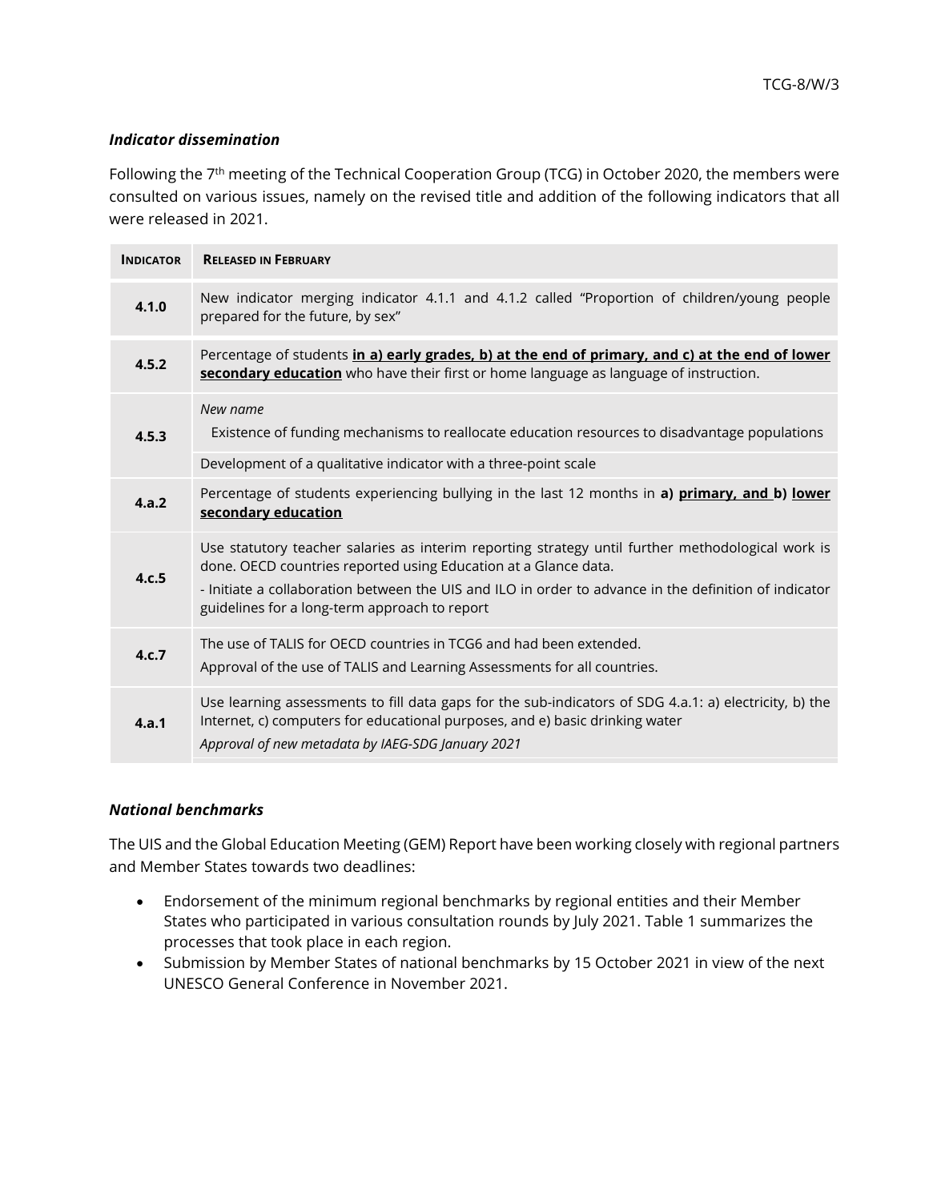#### *Indicator dissemination*

Following the 7<sup>th</sup> meeting of the Technical Cooperation Group (TCG) in October 2020, the members were consulted on various issues, namely on the revised title and addition of the following indicators that all were released in 2021.

| <b>INDICATOR</b> | <b>RELEASED IN FEBRUARY</b>                                                                                                                                                                                                                 |
|------------------|---------------------------------------------------------------------------------------------------------------------------------------------------------------------------------------------------------------------------------------------|
| 4.1.0            | New indicator merging indicator 4.1.1 and 4.1.2 called "Proportion of children/young people<br>prepared for the future, by sex"                                                                                                             |
| 4.5.2            | Percentage of students in a) early grades, b) at the end of primary, and c) at the end of lower<br>secondary education who have their first or home language as language of instruction.                                                    |
| 4.5.3            | New name<br>Existence of funding mechanisms to reallocate education resources to disadvantage populations                                                                                                                                   |
|                  | Development of a qualitative indicator with a three-point scale                                                                                                                                                                             |
| 4.a.2            | Percentage of students experiencing bullying in the last 12 months in a) primary, and b) lower<br>secondary education                                                                                                                       |
| 4.c.5            | Use statutory teacher salaries as interim reporting strategy until further methodological work is<br>done. OECD countries reported using Education at a Glance data.                                                                        |
|                  | - Initiate a collaboration between the UIS and ILO in order to advance in the definition of indicator<br>guidelines for a long-term approach to report                                                                                      |
| 4.c.7            | The use of TALIS for OECD countries in TCG6 and had been extended.<br>Approval of the use of TALIS and Learning Assessments for all countries.                                                                                              |
| 4.a.1            | Use learning assessments to fill data gaps for the sub-indicators of SDG 4.a.1: a) electricity, b) the<br>Internet, c) computers for educational purposes, and e) basic drinking water<br>Approval of new metadata by IAEG-SDG January 2021 |

#### *National benchmarks*

The UIS and the Global Education Meeting (GEM) Report have been working closely with regional partners and Member States towards two deadlines:

- Endorsement of the minimum regional benchmarks by regional entities and their Member States who participated in various consultation rounds by July 2021. Table 1 summarizes the processes that took place in each region.
- Submission by Member States of national benchmarks by 15 October 2021 in view of the next UNESCO General Conference in November 2021.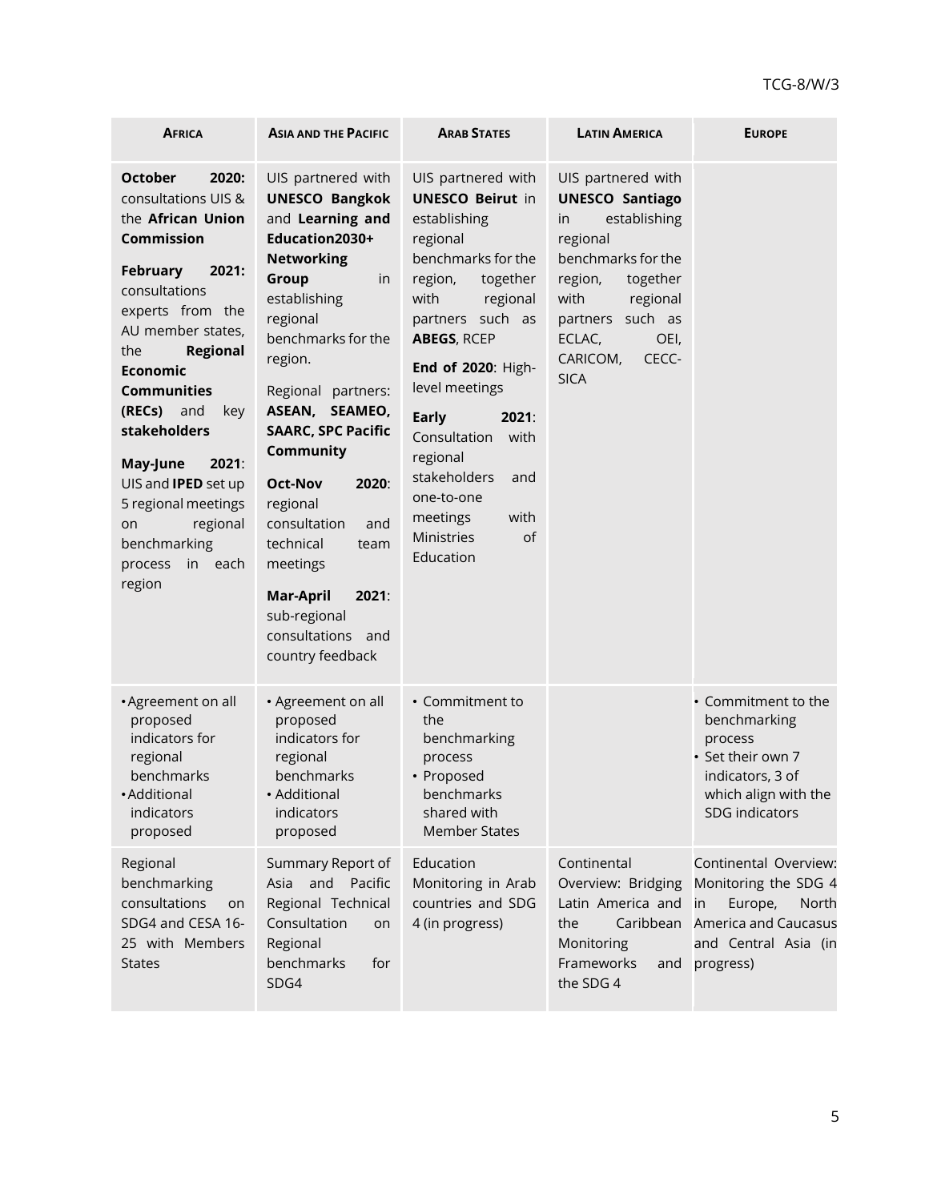| <b>AFRICA</b>                                                                                                                                                                                                                                                                                                                                                                                                                      | <b>ASIA AND THE PACIFIC</b>                                                                                                                                                                                                                                                                                                                                                                                                                               | <b>ARAB STATES</b>                                                                                                                                                                                                                                                                                                                                                                  | <b>LATIN AMERICA</b>                                                                                                                                                                                                      | <b>EUROPE</b>                                                                                                                        |
|------------------------------------------------------------------------------------------------------------------------------------------------------------------------------------------------------------------------------------------------------------------------------------------------------------------------------------------------------------------------------------------------------------------------------------|-----------------------------------------------------------------------------------------------------------------------------------------------------------------------------------------------------------------------------------------------------------------------------------------------------------------------------------------------------------------------------------------------------------------------------------------------------------|-------------------------------------------------------------------------------------------------------------------------------------------------------------------------------------------------------------------------------------------------------------------------------------------------------------------------------------------------------------------------------------|---------------------------------------------------------------------------------------------------------------------------------------------------------------------------------------------------------------------------|--------------------------------------------------------------------------------------------------------------------------------------|
| <b>October</b><br>2020:<br>consultations UIS &<br>the African Union<br><b>Commission</b><br><b>February</b><br>2021:<br>consultations<br>experts from the<br>AU member states,<br>the<br><b>Regional</b><br><b>Economic</b><br><b>Communities</b><br>(RECs) and<br>key<br>stakeholders<br>May-June<br>2021:<br>UIS and <b>IPED</b> set up<br>5 regional meetings<br>regional<br>on<br>benchmarking<br>process<br>in each<br>region | UIS partnered with<br><b>UNESCO Bangkok</b><br>and Learning and<br>Education2030+<br><b>Networking</b><br>Group<br>in<br>establishing<br>regional<br>benchmarks for the<br>region.<br>Regional partners:<br>ASEAN, SEAMEO,<br><b>SAARC, SPC Pacific</b><br>Community<br><b>Oct-Nov</b><br>2020:<br>regional<br>consultation<br>and<br>technical<br>team<br>meetings<br>2021:<br><b>Mar-April</b><br>sub-regional<br>consultations and<br>country feedback | UIS partnered with<br><b>UNESCO Beirut in</b><br>establishing<br>regional<br>benchmarks for the<br>region,<br>together<br>with<br>regional<br>partners such as<br><b>ABEGS, RCEP</b><br>End of 2020: High-<br>level meetings<br><b>Early</b><br>2021:<br>Consultation<br>with<br>regional<br>stakeholders<br>and<br>one-to-one<br>with<br>meetings<br>Ministries<br>of<br>Education | UIS partnered with<br><b>UNESCO Santiago</b><br>establishing<br>in<br>regional<br>benchmarks for the<br>together<br>region,<br>with<br>regional<br>partners such as<br>ECLAC,<br>OEI,<br>CARICOM,<br>CECC-<br><b>SICA</b> |                                                                                                                                      |
| • Agreement on all<br>proposed<br>indicators for<br>regional<br>benchmarks<br>•Additional<br>indicators<br>proposed                                                                                                                                                                                                                                                                                                                | • Agreement on all<br>proposed<br>indicators for<br>regional<br>benchmarks<br>$\bullet$ Additional<br>indicators<br>proposed                                                                                                                                                                                                                                                                                                                              | • Commitment to<br>the<br>benchmarking<br>process<br>• Proposed<br>benchmarks<br>shared with<br><b>Member States</b>                                                                                                                                                                                                                                                                |                                                                                                                                                                                                                           | • Commitment to the<br>benchmarking<br>process<br>• Set their own 7<br>indicators, 3 of<br>which align with the<br>SDG indicators    |
| Regional<br>benchmarking<br>consultations<br>on<br>SDG4 and CESA 16-<br>25 with Members<br><b>States</b>                                                                                                                                                                                                                                                                                                                           | Summary Report of<br>Asia and Pacific<br>Regional Technical<br>Consultation<br>on<br>Regional<br>benchmarks<br>for<br>SDG4                                                                                                                                                                                                                                                                                                                                | Education<br>Monitoring in Arab<br>countries and SDG<br>4 (in progress)                                                                                                                                                                                                                                                                                                             | Continental<br>Overview: Bridging<br>Latin America and<br>Caribbean<br>the<br>Monitoring<br>Frameworks<br>and<br>the SDG 4                                                                                                | Continental Overview:<br>Monitoring the SDG 4<br>Europe,<br>North<br>in<br>America and Caucasus<br>and Central Asia (in<br>progress) |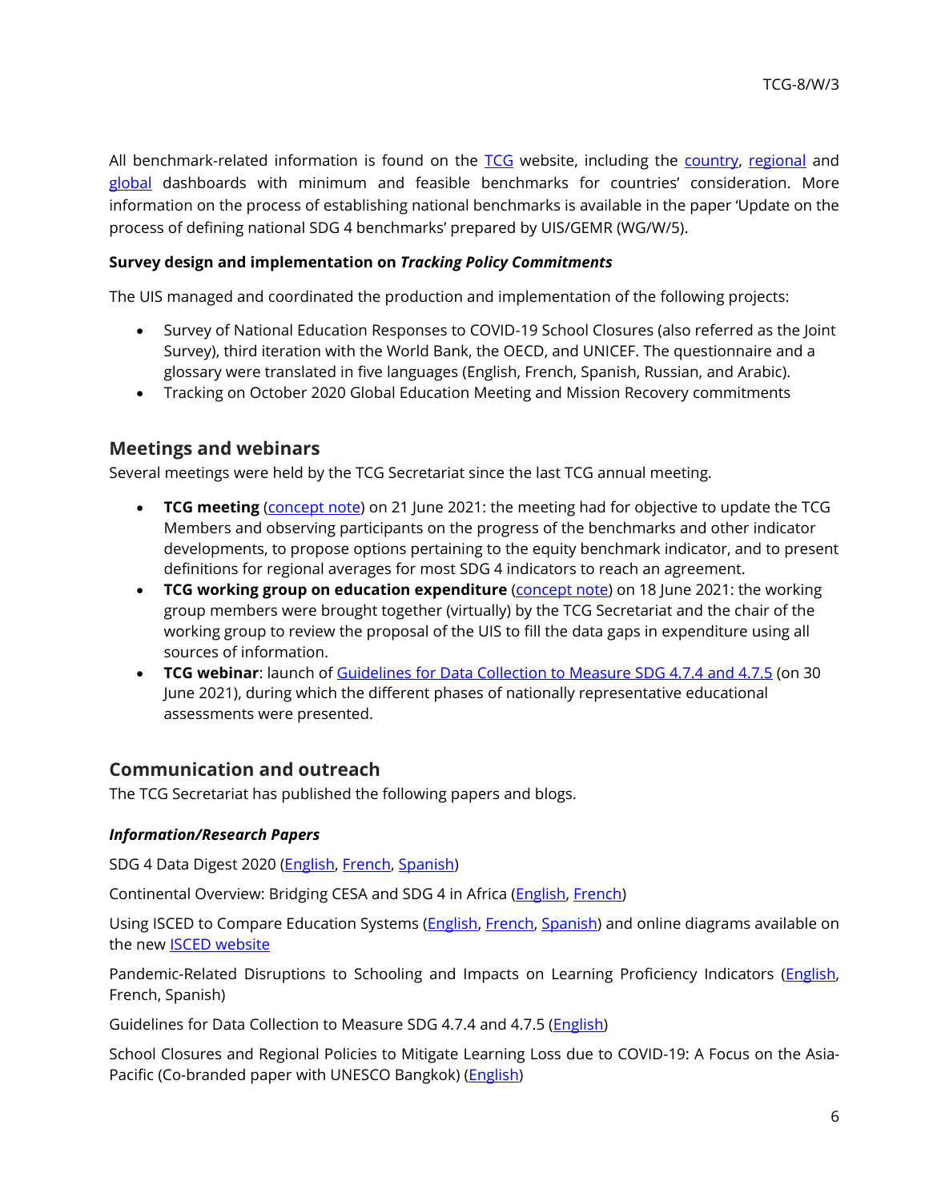All benchmark-related information is found on the [TCG](http://tcg.uis.unesco.org/benchmarks/) website, including the [country,](http://tcg.uis.unesco.org/benchmarks-dashboard/benchmarks-country-dashboard/) [regional](http://tcg.uis.unesco.org/benchmarks-dashboard/benchmarks-regional-dashboard/) and [global](http://tcg.uis.unesco.org/benchmarks-dashboard/global-dashboard/) dashboards with minimum and feasible benchmarks for countries' consideration. More information on the process of establishing national benchmarks is available in the paper 'Update on the process of defining national SDG 4 benchmarks' prepared by UIS/GEMR (WG/W/5).

#### **Survey design and implementation on** *Tracking Policy Commitments*

The UIS managed and coordinated the production and implementation of the following projects:

- Survey of National Education Responses to COVID-19 School Closures (also referred as the Joint Survey), third iteration with the World Bank, the OECD, and UNICEF. The questionnaire and a glossary were translated in five languages (English, French, Spanish, Russian, and Arabic).
- Tracking on October 2020 Global Education Meeting and Mission Recovery commitments

## **Meetings and webinars**

Several meetings were held by the TCG Secretariat since the last TCG annual meeting.

- **TCG meeting** [\(concept note\)](http://tcg.uis.unesco.org/wp-content/uploads/sites/4/2021/06/TCG-June-2021-Concept-Note.pdf) on 21 June 2021: the meeting had for objective to update the TCG Members and observing participants on the progress of the benchmarks and other indicator developments, to propose options pertaining to the equity benchmark indicator, and to present definitions for regional averages for most SDG 4 indicators to reach an agreement.
- **TCG working group on education expenditure** [\(concept note\)](http://tcg.uis.unesco.org/wp-content/uploads/sites/4/2021/06/TCG-WG-Expenditure-Concept-Note-18-June-2021.pdf) on 18 June 2021: the working group members were brought together (virtually) by the TCG Secretariat and the chair of the working group to review the proposal of the UIS to fill the data gaps in expenditure using all sources of information.
- **TCG webinar**: launch of [Guidelines for Data Collection to Measure SDG 4.7.4 and 4.7.5](http://gaml.uis.unesco.org/wp-content/uploads/sites/2/2021/06/Guidelines-for-Data-Collection-to-Measure-SDG-4.7.4-and-4.7.5.pdf) (on 30 June 2021), during which the different phases of nationally representative educational assessments were presented.

## **Communication and outreach**

The TCG Secretariat has published the following papers and blogs.

#### *Information/Research Papers*

SDG 4 Data Digest 2020 [\(English,](http://uis.unesco.org/sites/default/files/documents/sdg_4_data_digest_sp-2020.pdf) [French,](http://uis.unesco.org/sites/default/files/documents/sdg_4_data_digest_fr_2020_final_web_v2.pdf) [Spanish\)](http://uis.unesco.org/sites/default/files/documents/sdg_4_data_digest_sp-2020.pdf)

Continental Overview: Bridging CESA and SDG 4 in Africa [\(English,](http://uis.unesco.org/sites/default/files/documents/bridging_cesa_and_sdg4_in_africa-final.pdf) [French\)](http://uis.unesco.org/sites/default/files/documents/f_unesco_uis_africa_report_french_web.pdf)

Using ISCED to Compare Education Systems [\(English,](http://uis.unesco.org/sites/default/files/documents/uis-isced-diagramscompare-web.pdf) [French,](http://uis.unesco.org/sites/default/files/documents/unesco1010_heritage_report_fr-final.pdf) [Spanish\)](http://uis.unesco.org/sites/default/files/documents/unesco1010_heritage_report_sp-final.pdf) and online diagrams available on the new [ISCED website](http://isced.uis.unesco.org/visualizations/)

Pandemic-Related Disruptions to Schooling and Impacts on Learning Proficiency Indicators [\(English,](http://uis.unesco.org/sites/default/files/documents/covid-19_interruptions_to_learning_-_final_0.pdf) French, Spanish)

Guidelines for Data Collection to Measure SDG 4.7.4 and 4.7.5 [\(English\)](http://gaml.uis.unesco.org/wp-content/uploads/sites/2/2021/06/Guidelines-for-Data-Collection-to-Measure-SDG-4.7.4-and-4.7.5.pdf)

School Closures and Regional Policies to Mitigate Learning Loss due to COVID-19: A Focus on the Asia-Pacific (Co-branded paper with UNESCO Bangkok) [\(English\)](http://uis.unesco.org/sites/default/files/documents/school_closures_and_regional_policies_to_mitigate_learning_losses_in_asia_pacific.pdf)